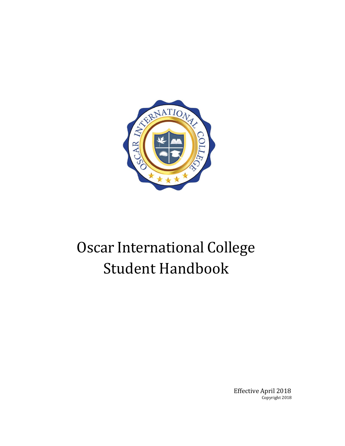

# Oscar International College Student Handbook

Effective April 2018 Copyright 2018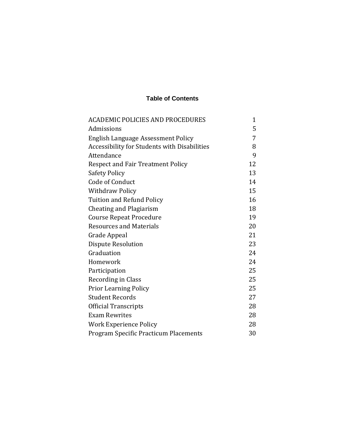#### **Table of Contents**

| <b>ACADEMIC POLICIES AND PROCEDURES</b>      | 1  |
|----------------------------------------------|----|
| Admissions                                   | 5  |
| English Language Assessment Policy           | 7  |
| Accessibility for Students with Disabilities | 8  |
| Attendance                                   | 9  |
| <b>Respect and Fair Treatment Policy</b>     | 12 |
| <b>Safety Policy</b>                         | 13 |
| Code of Conduct                              | 14 |
| <b>Withdraw Policy</b>                       | 15 |
| <b>Tuition and Refund Policy</b>             | 16 |
| <b>Cheating and Plagiarism</b>               | 18 |
| <b>Course Repeat Procedure</b>               | 19 |
| <b>Resources and Materials</b>               | 20 |
| Grade Appeal                                 | 21 |
| Dispute Resolution                           | 23 |
| Graduation                                   | 24 |
| Homework                                     | 24 |
| Participation                                | 25 |
| Recording in Class                           | 25 |
| <b>Prior Learning Policy</b>                 | 25 |
| <b>Student Records</b>                       | 27 |
| <b>Official Transcripts</b>                  | 28 |
| <b>Exam Rewrites</b>                         | 28 |
| <b>Work Experience Policy</b>                | 28 |
| <b>Program Specific Practicum Placements</b> | 30 |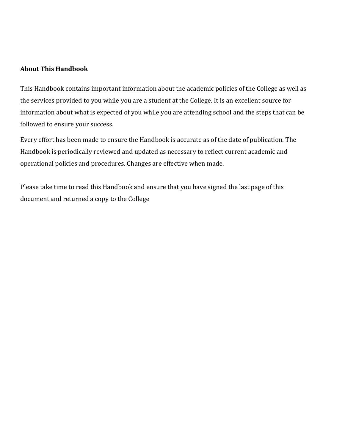#### **About This Handbook**

This Handbook contains important information about the academic policies of the College as well as the services provided to you while you are a student at the College. It is an excellent source for information about what is expected of you while you are attending school and the steps that can be followed to ensure your success.

Every effort has been made to ensure the Handbook is accurate as of the date of publication. The Handbook is periodically reviewed and updated as necessary to reflect current academic and operational policies and procedures. Changes are effective when made.

Please take time to read this Handbook and ensure that you have signed the last page of this document and returned a copy to the College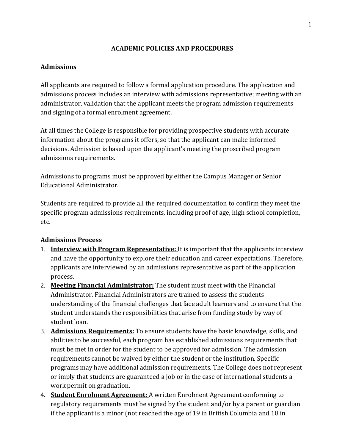### **ACADEMIC POLICIES AND PROCEDURES**

## <span id="page-3-1"></span><span id="page-3-0"></span>**Admissions**

All applicants are required to follow a formal application procedure. The application and admissions process includes an interview with admissions representative; meeting with an administrator, validation that the applicant meets the program admission requirements and signing of a formal enrolment agreement.

At all times the College is responsible for providing prospective students with accurate information about the programs it offers, so that the applicant can make informed decisions. Admission is based upon the applicant's meeting the proscribed program admissions requirements.

Admissions to programs must be approved by either the Campus Manager or Senior Educational Administrator.

Students are required to provide all the required documentation to confirm they meet the specific program admissions requirements, including proof of age, high school completion, etc.

# **Admissions Process**

- 1. **Interview with Program Representative:** It is important that the applicants interview and have the opportunity to explore their education and career expectations. Therefore, applicants are interviewed by an admissions representative as part of the application process.
- 2. **Meeting Financial Administrator:** The student must meet with the Financial Administrator. Financial Administrators are trained to assess the students understanding of the financial challenges that face adult learners and to ensure that the student understands the responsibilities that arise from funding study by way of student loan.
- 3. **Admissions Requirements:** To ensure students have the basic knowledge, skills, and abilities to be successful, each program has established admissions requirements that must be met in order for the student to be approved for admission. The admission requirements cannot be waived by either the student or the institution. Specific programs may have additional admission requirements. The College does not represent or imply that students are guaranteed a job or in the case of international students a work permit on graduation.
- 4. **Student Enrolment Agreement:** A written Enrolment Agreement conforming to regulatory requirements must be signed by the student and/or by a parent or guardian if the applicant is a minor (not reached the age of 19 in British Columbia and 18 in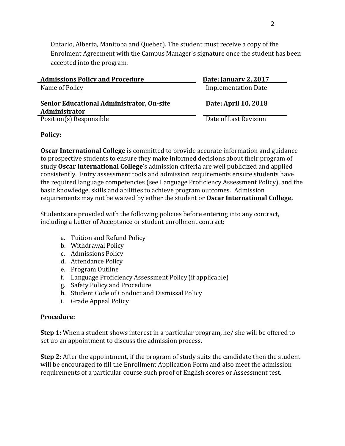Ontario, Alberta, Manitoba and Quebec). The student must receive a copy of the Enrolment Agreement with the Campus Manager's signature once the student has been accepted into the program.

| <b>Admissions Policy and Procedure</b>                     | <b>Date: January 2, 2017</b> |
|------------------------------------------------------------|------------------------------|
| Name of Policy                                             | <b>Implementation Date</b>   |
| Senior Educational Administrator, On-site<br>Administrator | Date: April 10, 2018         |
| Position(s) Responsible                                    | Date of Last Revision        |

#### **Policy:**

**Oscar International College** is committed to provide accurate information and guidance to prospective students to ensure they make informed decisions about their program of study **Oscar International College**'s admission criteria are well publicized and applied consistently. Entry assessment tools and admission requirements ensure students have the required language competencies (see Language Proficiency Assessment Policy), and the basic knowledge, skills and abilities to achieve program outcomes. Admission requirements may not be waived by either the student or **Oscar International College.**

Students are provided with the following policies before entering into any contract, including a Letter of Acceptance or student enrollment contract:

- a. Tuition and Refund Policy
- b. Withdrawal Policy
- c. Admissions Policy
- d. Attendance Policy
- e. Program Outline
- f. Language Proficiency Assessment Policy (if applicable)
- g. Safety Policy and Procedure
- h. Student Code of Conduct and Dismissal Policy
- i. Grade Appeal Policy

#### **Procedure:**

**Step 1:** When a student shows interest in a particular program, he/ she will be offered to set up an appointment to discuss the admission process.

**Step 2:** After the appointment, if the program of study suits the candidate then the student will be encouraged to fill the Enrollment Application Form and also meet the admission requirements of a particular course such proof of English scores or Assessment test.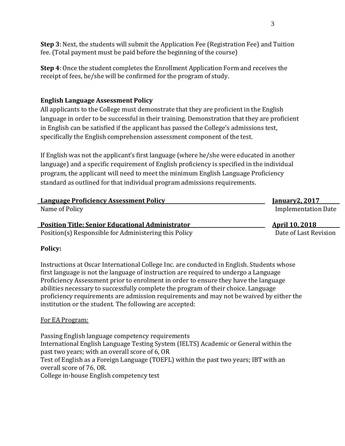**Step 3**: Next, the students will submit the Application Fee (Registration Fee) and Tuition fee. (Total payment must be paid before the beginning of the course)

**Step 4**: Once the student completes the Enrollment Application Form and receives the receipt of fees, he/she will be confirmed for the program of study.

# <span id="page-5-0"></span>**English Language Assessment Policy**

All applicants to the College must demonstrate that they are proficient in the English language in order to be successful in their training. Demonstration that they are proficient in English can be satisfied if the applicant has passed the College's admissions test, specifically the English comprehension assessment component of the test.

If English was not the applicant's first language (where he/she were educated in another language) and a specific requirement of English proficiency is specified in the individual program, the applicant will need to meet the minimum English Language Proficiency standard as outlined for that individual program admissions requirements.

| <b>Language Proficiency Assessment Policy</b>           | <b>January2, 2017</b>      |
|---------------------------------------------------------|----------------------------|
| Name of Policy                                          | <b>Implementation Date</b> |
| <b>Position Title: Senior Educational Administrator</b> | <u>April 10, 2018</u>      |

Position(s) Responsible for Administering this Policy Date of Last Revision

# **Policy:**

Instructions at Oscar International College Inc. are conducted in English. Students whose first language is not the language of instruction are required to undergo a Language Proficiency Assessment prior to enrolment in order to ensure they have the language abilities necessary to successfully complete the program of their choice. Language proficiency requirements are admission requirements and may not be waived by either the institution or the student. The following are accepted:

# For EA Program:

Passing English language competency requirements International English Language Testing System (IELTS) Academic or General within the past two years; with an overall score of 6, OR Test of English as a Foreign Language (TOEFL) within the past two years; IBT with an overall score of 76, OR. College in-house English competency test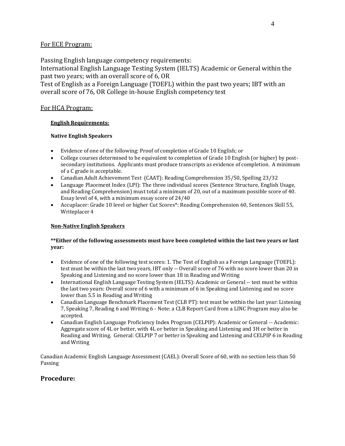#### For ECE Program:

Passing English language competency requirements: International English Language Testing System (IELTS) Academic or General within the past two years; with an overall score of 6, OR Test of English as a Foreign Language (TOEFL) within the past two years; IBT with an overall score of 76, OR College in-house English competency test

#### For HCA Program:

#### **English Requirements:**

#### **Native English Speakers**

- Evidence of one of the following: Proof of completion of Grade 10 English; or
- College courses determined to be equivalent to completion of Grade 10 English (or higher) by postsecondary institutions. Applicants must produce transcripts as evidence of completion. A minimum of a C grade is acceptable.
- Canadian Adult Achievement Test (CAAT): Reading Comprehension 35/50, Spelling 23/32
- Language Placement Index (LPI): The three individual scores (Sentence Structure, English Usage, and Reading Comprehension) must total a minimum of 20, out of a maximum possible score of 40. Essay level of 4, with a minimum essay score of 24/40
- Accuplacer: Grade 10 level or higher Cut Scores\*: Reading Comprehension 60, Sentences Skill 55, Writeplacer 4

#### **Non-Native English Speakers**

#### **\*\*Either of the following assessments must have been completed within the last two years or last year:**

- Evidence of one of the following test scores: 1. The Test of English as a Foreign Language (TOEFL): test must be within the last two years, IBT only -- Overall score of 76 with no score lower than 20 in Speaking and Listening and no score lower than 18 in Reading and Writing
- International English Language Testing System (IELTS): Academic or General -- test must be within the last two years: Overall score of 6 with a minimum of 6 in Speaking and Listening and no score lower than 5.5 in Reading and Writing
- Canadian Language Benchmark Placement Test (CLB PT): test must be within the last year: Listening 7, Speaking 7, Reading 6 and Writing 6 - Note: a CLB Report Card from a LINC Program may also be accepted.
- Canadian English Language Proficiency Index Program (CELPIP): Academic or General -- Academic: Aggregate score of 4L or better, with 4L or better in Speaking and Listening and 3H or better in Reading and Writing. General: CELPIP 7 or better in Speaking and Listening and CELPIP 6 in Reading and Writing

Canadian Academic English Language Assessment (CAEL): Overall Score of 60, with no section less than 50 Passing

#### **Procedure:**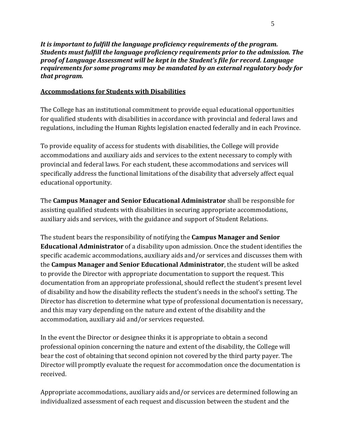*It is important to fulfill the language proficiency requirements of the program. Students must fulfill the language proficiency requirements prior to the admission. The proof of Language Assessment will be kept in the Student's file for record. Language requirements for some programs may be mandated by an external regulatory body for that program.*

# **Accommodations for Students with Disabilities**

The College has an institutional commitment to provide equal educational opportunities for qualified students with disabilities in accordance with provincial and federal laws and regulations, including the Human Rights legislation enacted federally and in each Province.

To provide equality of access for students with disabilities, the College will provide accommodations and auxiliary aids and services to the extent necessary to comply with provincial and federal laws. For each student, these accommodations and services will specifically address the functional limitations of the disability that adversely affect equal educational opportunity.

The **Campus Manager and Senior Educational Administrator** shall be responsible for assisting qualified students with disabilities in securing appropriate accommodations, auxiliary aids and services, with the guidance and support of Student Relations.

The student bears the responsibility of notifying the **Campus Manager and Senior Educational Administrator** of a disability upon admission. Once the student identifies the specific academic accommodations, auxiliary aids and/or services and discusses them with the **Campus Manager and Senior Educational Administrator**, the student will be asked to provide the Director with appropriate documentation to support the request. This documentation from an appropriate professional, should reflect the student's present level of disability and how the disability reflects the student's needs in the school's setting. The Director has discretion to determine what type of professional documentation is necessary, and this may vary depending on the nature and extent of the disability and the accommodation, auxiliary aid and/or services requested.

In the event the Director or designee thinks it is appropriate to obtain a second professional opinion concerning the nature and extent of the disability, the College will bear the cost of obtaining that second opinion not covered by the third party payer. The Director will promptly evaluate the request for accommodation once the documentation is received.

Appropriate accommodations, auxiliary aids and/or services are determined following an individualized assessment of each request and discussion between the student and the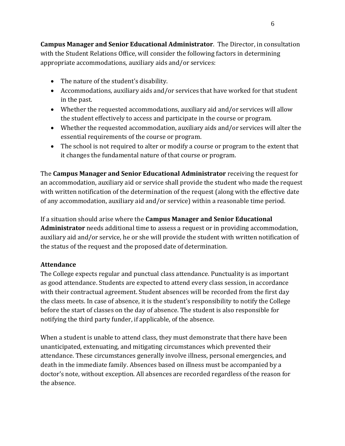**Campus Manager and Senior Educational Administrator**. The Director, in consultation with the Student Relations Office, will consider the following factors in determining appropriate accommodations, auxiliary aids and/or services:

- The nature of the student's disability.
- Accommodations, auxiliary aids and/or services that have worked for that student in the past.
- Whether the requested accommodations, auxiliary aid and/or services will allow the student effectively to access and participate in the course or program.
- Whether the requested accommodation, auxiliary aids and/or services will alter the essential requirements of the course or program.
- The school is not required to alter or modify a course or program to the extent that it changes the fundamental nature of that course or program.

The **Campus Manager and Senior Educational Administrator** receiving the request for an accommodation, auxiliary aid or service shall provide the student who made the request with written notification of the determination of the request (along with the effective date of any accommodation, auxiliary aid and/or service) within a reasonable time period.

If a situation should arise where the **Campus Manager and Senior Educational Administrator** needs additional time to assess a request or in providing accommodation, auxiliary aid and/or service, he or she will provide the student with written notification of the status of the request and the proposed date of determination.

# <span id="page-8-0"></span>**Attendance**

The College expects regular and punctual class attendance. Punctuality is as important as good attendance. Students are expected to attend every class session, in accordance with their contractual agreement. Student absences will be recorded from the first day the class meets. In case of absence, it is the student's responsibility to notify the College before the start of classes on the day of absence. The student is also responsible for notifying the third party funder, if applicable, of the absence.

When a student is unable to attend class, they must demonstrate that there have been unanticipated, extenuating, and mitigating circumstances which prevented their attendance. These circumstances generally involve illness, personal emergencies, and death in the immediate family. Absences based on illness must be accompanied by a doctor's note, without exception. All absences are recorded regardless of the reason for the absence.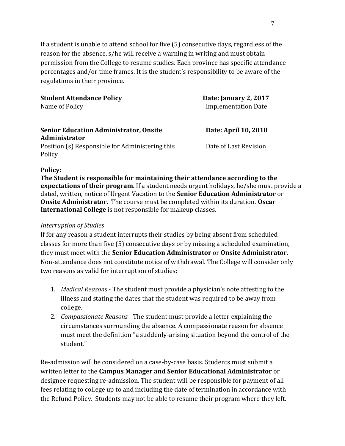If a student is unable to attend school for five (5) consecutive days, regardless of the reason for the absence, s/he will receive a warning in writing and must obtain permission from the College to resume studies. Each province has specific attendance percentages and/or time frames. It is the student's responsibility to be aware of the regulations in their province.

| <b>Student Attendance Policy</b>                | Date: January 2, 2017      |
|-------------------------------------------------|----------------------------|
| Name of Policy                                  | <b>Implementation Date</b> |
|                                                 |                            |
| <b>Senior Education Administrator, Onsite</b>   | Date: April 10, 2018       |
| Administrator                                   |                            |
| Position (s) Responsible for Administering this | Date of Last Revision      |
| Policy                                          |                            |

#### **Policy:**

**The Student is responsible for maintaining their attendance according to the expectations of their program.** If a student needs urgent holidays, he/she must provide a dated, written, notice of Urgent Vacation to the **Senior Education Administrator** or **Onsite Administrator.** The course must be completed within its duration. **Oscar International College** is not responsible for makeup classes.

#### *Interruption of Studies*

If for any reason a student interrupts their studies by being absent from scheduled classes for more than five (5) consecutive days or by missing a scheduled examination, they must meet with the **Senior Education Administrator** or **Onsite Administrator**. Non-attendance does not constitute notice of withdrawal. The College will consider only two reasons as valid for interruption of studies:

- 1. *Medical Reasons*  The student must provide a physician's note attesting to the illness and stating the dates that the student was required to be away from college.
- 2. *Compassionate Reasons*  The student must provide a letter explaining the circumstances surrounding the absence. A compassionate reason for absence must meet the definition "a suddenly-arising situation beyond the control of the student."

Re-admission will be considered on a case-by-case basis. Students must submit a written letter to the **Campus Manager and Senior Educational Administrator** or designee requesting re-admission. The student will be responsible for payment of all fees relating to college up to and including the date of termination in accordance with the Refund Policy. Students may not be able to resume their program where they left.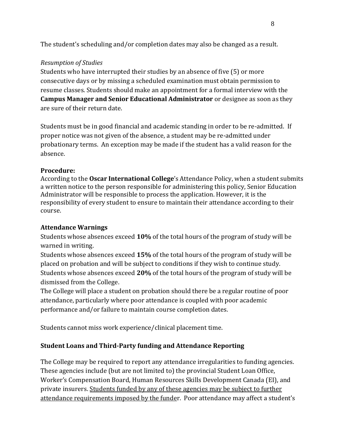The student's scheduling and/or completion dates may also be changed as a result.

# *Resumption of Studies*

Students who have interrupted their studies by an absence of five (5) or more consecutive days or by missing a scheduled examination must obtain permission to resume classes. Students should make an appointment for a formal interview with the **Campus Manager and Senior Educational Administrator** or designee as soon as they are sure of their return date.

Students must be in good financial and academic standing in order to be re-admitted. If proper notice was not given of the absence, a student may be re-admitted under probationary terms. An exception may be made if the student has a valid reason for the absence.

# **Procedure:**

According to the **Oscar International College**'s Attendance Policy, when a student submits a written notice to the person responsible for administering this policy, Senior Education Administrator will be responsible to process the application. However, it is the responsibility of every student to ensure to maintain their attendance according to their course.

# **Attendance Warnings**

Students whose absences exceed **10%** of the total hours of the program of study will be warned in writing.

Students whose absences exceed **15%** of the total hours of the program of study will be placed on probation and will be subject to conditions if they wish to continue study. Students whose absences exceed **20%** of the total hours of the program of study will be dismissed from the College.

The College will place a student on probation should there be a regular routine of poor attendance, particularly where poor attendance is coupled with poor academic performance and/or failure to maintain course completion dates.

Students cannot miss work experience/clinical placement time.

# **Student Loans and Third-Party funding and Attendance Reporting**

The College may be required to report any attendance irregularities to funding agencies. These agencies include (but are not limited to) the provincial Student Loan Office, Worker's Compensation Board, Human Resources Skills Development Canada (EI), and private insurers. Students funded by any of these agencies may be subject to further attendance requirements imposed by the funder. Poor attendance may affect a student's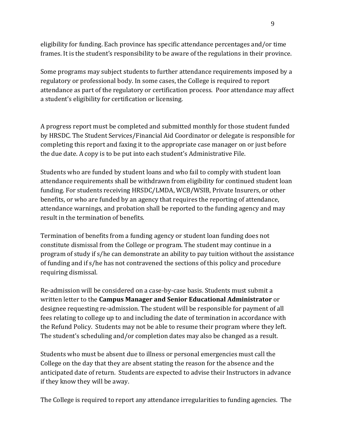eligibility for funding. Each province has specific attendance percentages and/or time frames. It is the student's responsibility to be aware of the regulations in their province.

Some programs may subject students to further attendance requirements imposed by a regulatory or professional body. In some cases, the College is required to report attendance as part of the regulatory or certification process. Poor attendance may affect a student's eligibility for certification or licensing.

A progress report must be completed and submitted monthly for those student funded by HRSDC. The Student Services/Financial Aid Coordinator or delegate is responsible for completing this report and faxing it to the appropriate case manager on or just before the due date. A copy is to be put into each student's Administrative File.

Students who are funded by student loans and who fail to comply with student loan attendance requirements shall be withdrawn from eligibility for continued student loan funding. For students receiving HRSDC/LMDA, WCB/WSIB, Private Insurers, or other benefits, or who are funded by an agency that requires the reporting of attendance, attendance warnings, and probation shall be reported to the funding agency and may result in the termination of benefits.

Termination of benefits from a funding agency or student loan funding does not constitute dismissal from the College or program. The student may continue in a program of study if s/he can demonstrate an ability to pay tuition without the assistance of funding and if s/he has not contravened the sections of this policy and procedure requiring dismissal.

Re-admission will be considered on a case-by-case basis. Students must submit a written letter to the **Campus Manager and Senior Educational Administrator** or designee requesting re-admission. The student will be responsible for payment of all fees relating to college up to and including the date of termination in accordance with the Refund Policy. Students may not be able to resume their program where they left. The student's scheduling and/or completion dates may also be changed as a result.

Students who must be absent due to illness or personal emergencies must call the College on the day that they are absent stating the reason for the absence and the anticipated date of return. Students are expected to advise their Instructors in advance if they know they will be away.

The College is required to report any attendance irregularities to funding agencies. The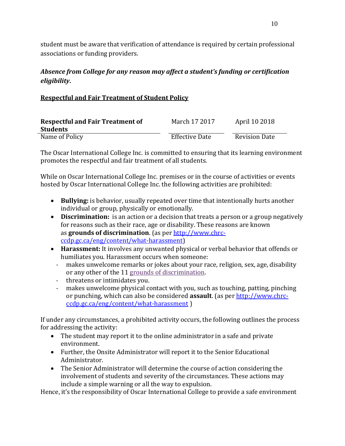student must be aware that verification of attendance is required by certain professional associations or funding providers.

# *Absence from College for any reason may affect a student's funding or certification eligibility.*

# **Respectful and Fair Treatment of Student Policy**

| <b>Respectful and Fair Treatment of</b> | March 17 2017         | April 10 2018        |
|-----------------------------------------|-----------------------|----------------------|
| <b>Students</b>                         |                       |                      |
| Name of Policy                          | <b>Effective Date</b> | <b>Revision Date</b> |

The Oscar International College Inc. is committed to ensuring that its learning environment promotes the respectful and fair treatment of all students.

While on Oscar International College Inc. premises or in the course of activities or events hosted by Oscar International College Inc. the following activities are prohibited:

- **Bullying:** is behavior, usually repeated over time that intentionally hurts another individual or group, physically or emotionally.
- **Discrimination:** is an action or a decision that treats a person or a group negatively for reasons such as their race, age or disability. These reasons are known as **grounds of discrimination**. (as per http://www.chrcccdp.gc.ca/eng/content/what-harassment)
- **Harassment:** It involves any unwanted physical or verbal behavior that offends or humiliates you. Harassment occurs when someone:
	- makes unwelcome remarks or jokes about your race, religion, sex, age, disability or any other of the 11 grounds of discrimination.
	- threatens or intimidates you.
	- makes unwelcome physical contact with you, such as touching, patting, pinching or punching, which can also be considered **assault**. (as per http://www.chrcccdp.gc.ca/eng/content/what-harassment )

If under any circumstances, a prohibited activity occurs, the following outlines the process for addressing the activity:

- The student may report it to the online administrator in a safe and private environment.
- Further, the Onsite Administrator will report it to the Senior Educational Administrator.
- The Senior Administrator will determine the course of action considering the involvement of students and severity of the circumstances. These actions may include a simple warning or all the way to expulsion.

Hence, it's the responsibility of Oscar International College to provide a safe environment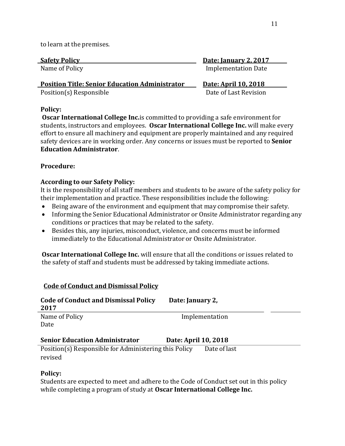to learn at the premises.

| <b>Safety Policy</b>                                  | <b>Date: January 2, 2017</b> |
|-------------------------------------------------------|------------------------------|
| Name of Policy                                        | <b>Implementation Date</b>   |
| <b>Position Title: Senior Education Administrator</b> | Date: April 10, 2018         |

Position(s) Responsible Date of Last Revision

#### **Policy:**

**Oscar International College Inc.**is committed to providing a safe environment for students, instructors and employees. **Oscar International College Inc.** will make every effort to ensure all machinery and equipment are properly maintained and any required safety devices are in working order. Any concerns or issues must be reported to **Senior Education Administrator**.

# **Procedure:**

# **According to our Safety Policy:**

It is the responsibility of all staff members and students to be aware of the safety policy for their implementation and practice. These responsibilities include the following:

- Being aware of the environment and equipment that may compromise their safety.
- Informing the Senior Educational Administrator or Onsite Administrator regarding any conditions or practices that may be related to the safety.
- Besides this, any injuries, misconduct, violence, and concerns must be informed immediately to the Educational Administrator or Onsite Administrator.

**Oscar International College Inc.** will ensure that all the conditions or issues related to the safety of staff and students must be addressed by taking immediate actions.

| <b>Code of Conduct and Dismissal Policy</b><br>2017   | Date: January 2,     |  |
|-------------------------------------------------------|----------------------|--|
| Name of Policy                                        | Implementation       |  |
| Date                                                  |                      |  |
| <b>Senior Education Administrator</b>                 | Date: April 10, 2018 |  |
| Position(s) Responsible for Administering this Policy | Date of last         |  |
| revised                                               |                      |  |

# **Policy:**

Students are expected to meet and adhere to the Code of Conduct set out in this policy while completing a program of study at **Oscar International College Inc.**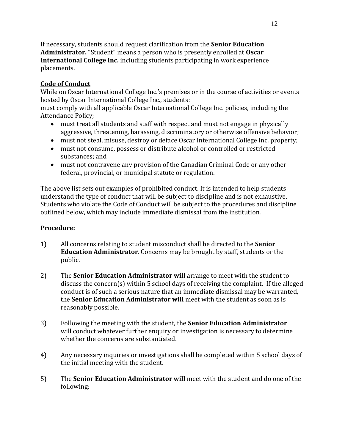If necessary, students should request clarification from the **Senior Education Administrator.** "Student" means a person who is presently enrolled at **Oscar International College Inc.** including students participating in work experience placements.

## <span id="page-14-0"></span>**Code of Conduct**

While on Oscar International College Inc.'s premises or in the course of activities or events hosted by Oscar International College Inc., students:

must comply with all applicable Oscar International College Inc. policies, including the Attendance Policy;

- must treat all students and staff with respect and must not engage in physically aggressive, threatening, harassing, discriminatory or otherwise offensive behavior;
- must not steal, misuse, destroy or deface Oscar International College Inc. property;
- must not consume, possess or distribute alcohol or controlled or restricted substances; and
- must not contravene any provision of the Canadian Criminal Code or any other federal, provincial, or municipal statute or regulation.

The above list sets out examples of prohibited conduct. It is intended to help students understand the type of conduct that will be subject to discipline and is not exhaustive. Students who violate the Code of Conduct will be subject to the procedures and discipline outlined below, which may include immediate dismissal from the institution.

#### **Procedure:**

- 1) All concerns relating to student misconduct shall be directed to the **Senior Education Administrator**. Concerns may be brought by staff, students or the public.
- 2) The **Senior Education Administrator will** arrange to meet with the student to discuss the concern(s) within 5 school days of receiving the complaint. If the alleged conduct is of such a serious nature that an immediate dismissal may be warranted, the **Senior Education Administrator will** meet with the student as soon as is reasonably possible.
- 3) Following the meeting with the student, the **Senior Education Administrator** will conduct whatever further enquiry or investigation is necessary to determine whether the concerns are substantiated.
- 4) Any necessary inquiries or investigations shall be completed within 5 school days of the initial meeting with the student.
- 5) The **Senior Education Administrator will** meet with the student and do one of the following: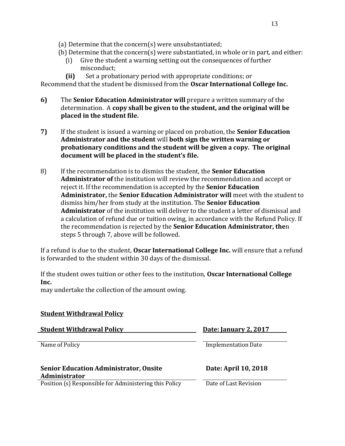- (a) Determine that the concern(s) were unsubstantiated;
- (b) Determine that the concern(s) were substantiated, in whole or in part, and either:
	- (i) Give the student a warning setting out the consequences of further misconduct;
	- **(ii)** Set a probationary period with appropriate conditions; or

Recommend that the student be dismissed from the **Oscar International College Inc.**

- **6)** The **Senior Education Administrator will** prepare a written summary of the determination. A **copy shall be given to the student, and the original will be placed in the student file.**
- **7)** If the student is issued a warning or placed on probation, the **Senior Education Administrator and the student** will **both sign the written warning or probationary conditions and the student will be given a copy. The original document will be placed in the student's file.**
- 8) If the recommendation is to dismiss the student, the **Senior Education Administrator of** the institution will review the recommendation and accept or reject it. If the recommendation is accepted by the **Senior Education Administrator,** the **Senior Education Administrator will** meet with the student to dismiss him/her from study at the institution. The **Senior Education Administrator** of the institution will deliver to the student a letter of dismissal and a calculation of refund due or tuition owing, in accordance with the Refund Policy. If the recommendation is rejected by the **Senior Education Administrator, the**n steps 5 through 7, above will be followed.

If a refund is due to the student, **Oscar International College Inc.** will ensure that a refund is forwarded to the student within 30 days of the dismissal.

If the student owes tuition or other fees to the institution, **Oscar International College Inc.**

may undertake the collection of the amount owing.

# **Student Withdrawal Policy Student Withdrawal Policy Date: January 2, 2017** Name of Policy **Implementation Date Senior Education Administrator, Onsite Administrator Date: April 10, 2018** Position (s) Responsible for Administering this Policy Date of Last Revision

13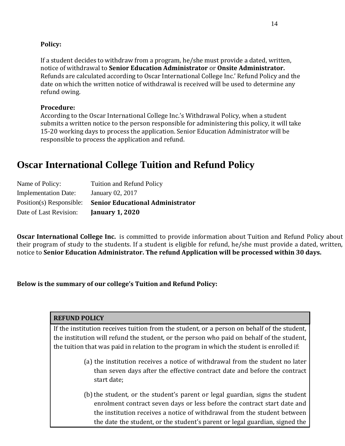#### **Policy:**

If a student decides to withdraw from a program, he/she must provide a dated, written, notice of withdrawal to **Senior Education Administrator** or **Onsite Administrator.** Refunds are calculated according to Oscar International College Inc.' Refund Policy and the date on which the written notice of withdrawal is received will be used to determine any refund owing.

#### **Procedure:**

According to the Oscar International College Inc.'s Withdrawal Policy, when a student submits a written notice to the person responsible for administering this policy, it will take 15-20 working days to process the application. Senior Education Administrator will be responsible to process the application and refund.

# **Oscar International College Tuition and Refund Policy**

| Name of Policy:             | <b>Tuition and Refund Policy</b>        |
|-----------------------------|-----------------------------------------|
| <b>Implementation Date:</b> | January 02, 2017                        |
| Position(s) Responsible:    | <b>Senior Educational Administrator</b> |
| Date of Last Revision:      | <b>January 1, 2020</b>                  |

**Oscar International College Inc.** is committed to provide information about Tuition and Refund Policy about their program of study to the students. If a student is eligible for refund, he/she must provide a dated, written, notice to **Senior Education Administrator. The refund Application will be processed within 30 days.**

**Below is the summary of our college's Tuition and Refund Policy:**

# **REFUND POLICY** If the institution receives tuition from the student, or a person on behalf of the student, the institution will refund the student, or the person who paid on behalf of the student, the tuition that was paid in relation to the program in which the student is enrolled if: (a) the institution receives a notice of withdrawal from the student no later than seven days after the effective contract date and before the contract start date; (b) the student, or the student's parent or legal guardian, signs the student enrolment contract seven days or less before the contract start date and the institution receives a notice of withdrawal from the student between

the date the student, or the student's parent or legal guardian, signed the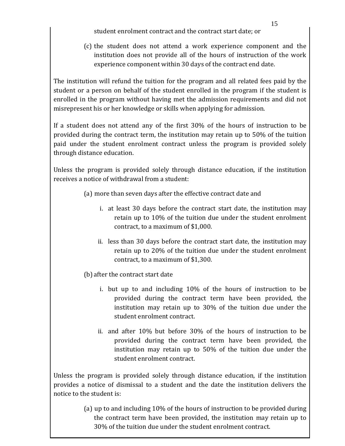student enrolment contract and the contract start date; or

(c) the student does not attend a work experience component and the institution does not provide all of the hours of instruction of the work experience component within 30 days of the contract end date.

The institution will refund the tuition for the program and all related fees paid by the student or a person on behalf of the student enrolled in the program if the student is enrolled in the program without having met the admission requirements and did not misrepresent his or her knowledge or skills when applying for admission.

If a student does not attend any of the first 30% of the hours of instruction to be provided during the contract term, the institution may retain up to 50% of the tuition paid under the student enrolment contract unless the program is provided solely through distance education.

Unless the program is provided solely through distance education, if the institution receives a notice of withdrawal from a student:

- (a) more than seven days after the effective contract date and
	- i. at least 30 days before the contract start date, the institution may retain up to 10% of the tuition due under the student enrolment contract, to a maximum of \$1,000.
	- ii. less than 30 days before the contract start date, the institution may retain up to 20% of the tuition due under the student enrolment contract, to a maximum of \$1,300.
- (b) after the contract start date
	- i. but up to and including 10% of the hours of instruction to be provided during the contract term have been provided, the institution may retain up to 30% of the tuition due under the student enrolment contract.
	- ii. and after 10% but before 30% of the hours of instruction to be provided during the contract term have been provided, the institution may retain up to 50% of the tuition due under the student enrolment contract.

Unless the program is provided solely through distance education, if the institution provides a notice of dismissal to a student and the date the institution delivers the notice to the student is:

> (a) up to and including 10% of the hours of instruction to be provided during the contract term have been provided, the institution may retain up to 30% of the tuition due under the student enrolment contract.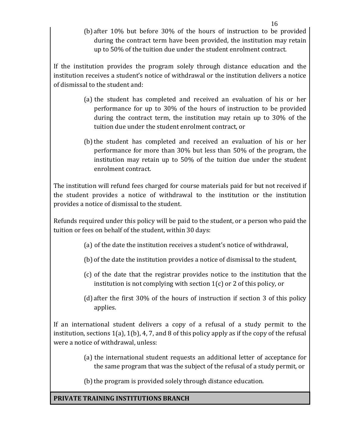(b) after 10% but before 30% of the hours of instruction to be provided during the contract term have been provided, the institution may retain up to 50% of the tuition due under the student enrolment contract.

If the institution provides the program solely through distance education and the institution receives a student's notice of withdrawal or the institution delivers a notice of dismissal to the student and:

- (a) the student has completed and received an evaluation of his or her performance for up to 30% of the hours of instruction to be provided during the contract term, the institution may retain up to 30% of the tuition due under the student enrolment contract, or
- (b)the student has completed and received an evaluation of his or her performance for more than 30% but less than 50% of the program, the institution may retain up to 50% of the tuition due under the student enrolment contract.

The institution will refund fees charged for course materials paid for but not received if the student provides a notice of withdrawal to the institution or the institution provides a notice of dismissal to the student.

8. Refunds required under this policy will be paid to the student, or a person who paid the tuition or fees on behalf of the student, within 30 days:

- (a) of the date the institution receives a student's notice of withdrawal,
- (b) of the date the institution provides a notice of dismissal to the student,
- (c) of the date that the registrar provides notice to the institution that the institution is not complying with section 1(c) or 2 of this policy, or
- (d) after the first 30% of the hours of instruction if section 3 of this policy applies.

9. If an international student delivers a copy of a refusal of a study permit to the institution, sections 1(a), 1(b), 4, 7, and 8 of this policy apply as if the copy of the refusal were a notice of withdrawal, unless:

> (a) the international student requests an additional letter of acceptance for the same program that was the subject of the refusal of a study permit, or

(b) the program is provided solely through distance education.

# **PRIVATE TRAINING INSTITUTIONS BRANCH**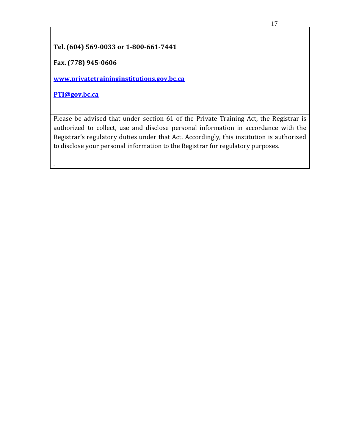# **Tel. (604) 569-0033 or 1-800-661-7441**

**Fax. (778) 945-0606**

**[www.privatetraininginstitutions.gov.bc.ca](http://www.privatetraininginstitutions.gov.bc.ca/)**

**[PTI@gov.bc.ca](mailto:PTI@gov.bc.ca)**

Please be advised that under section 61 of the Private Training Act, the Registrar is authorized to collect, use and disclose personal information in accordance with the Registrar's regulatory duties under that Act. Accordingly, this institution is authorized to disclose your personal information to the Registrar for regulatory purposes.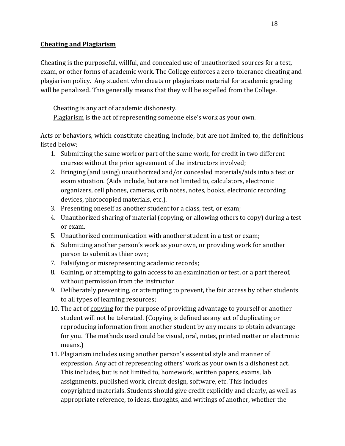#### <span id="page-20-0"></span>**Cheating and Plagiarism**

Cheating is the purposeful, willful, and concealed use of unauthorized sources for a test, exam, or other forms of academic work. The College enforces a zero-tolerance cheating and plagiarism policy. Any student who cheats or plagiarizes material for academic grading will be penalized. This generally means that they will be expelled from the College.

Cheating is any act of academic dishonesty. Plagiarism is the act of representing someone else's work as your own.

Acts or behaviors, which constitute cheating, include, but are not limited to, the definitions listed below:

- 1. Submitting the same work or part of the same work, for credit in two different courses without the prior agreement of the instructors involved;
- 2. Bringing (and using) unauthorized and/or concealed materials/aids into a test or exam situation. (Aids include, but are not limited to, calculators, electronic organizers, cell phones, cameras, crib notes, notes, books, electronic recording devices, photocopied materials, etc.).
- 3. Presenting oneself as another student for a class, test, or exam;
- 4. Unauthorized sharing of material (copying, or allowing others to copy) during a test or exam.
- 5. Unauthorized communication with another student in a test or exam;
- 6. Submitting another person's work as your own, or providing work for another person to submit as thier own;
- 7. Falsifying or misrepresenting academic records;
- 8. Gaining, or attempting to gain access to an examination or test, or a part thereof, without permission from the instructor
- 9. Deliberately preventing, or attempting to prevent, the fair access by other students to all types of learning resources;
- 10. The act of copying for the purpose of providing advantage to yourself or another student will not be tolerated. (Copying is defined as any act of duplicating or reproducing information from another student by any means to obtain advantage for you. The methods used could be visual, oral, notes, printed matter or electronic means.)
- 11. Plagiarism includes using another person's essential style and manner of expression. Any act of representing others' work as your own is a dishonest act. This includes, but is not limited to, homework, written papers, exams, lab assignments, published work, circuit design, software, etc. This includes copyrighted materials. Students should give credit explicitly and clearly, as well as appropriate reference, to ideas, thoughts, and writings of another, whether the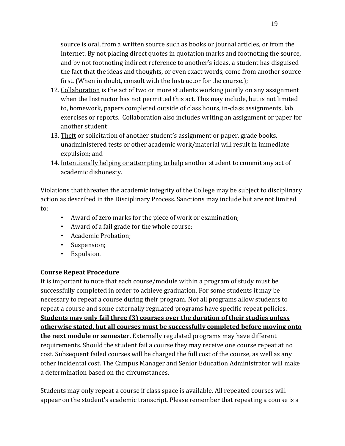source is oral, from a written source such as books or journal articles, or from the Internet. By not placing direct quotes in quotation marks and footnoting the source, and by not footnoting indirect reference to another's ideas, a student has disguised the fact that the ideas and thoughts, or even exact words, come from another source first. (When in doubt, consult with the Instructor for the course.);

- 12. Collaboration is the act of two or more students working jointly on any assignment when the Instructor has not permitted this act. This may include, but is not limited to, homework, papers completed outside of class hours, in-class assignments, lab exercises or reports. Collaboration also includes writing an assignment or paper for another student;
- 13. Theft or solicitation of another student's assignment or paper, grade books, unadministered tests or other academic work/material will result in immediate expulsion; and
- 14. Intentionally helping or attempting to help another student to commit any act of academic dishonesty.

Violations that threaten the academic integrity of the College may be subject to disciplinary action as described in the Disciplinary Process. Sanctions may include but are not limited to:

- Award of zero marks for the piece of work or examination;
- Award of a fail grade for the whole course;
- Academic Probation;
- Suspension;
- Expulsion.

# <span id="page-21-0"></span>**Course Repeat Procedure**

It is important to note that each course/module within a program of study must be successfully completed in order to achieve graduation. For some students it may be necessary to repeat a course during their program. Not all programs allow students to repeat a course and some externally regulated programs have specific repeat policies. **Students may only fail three (3) courses over the duration of their studies unless otherwise stated, but all courses must be successfully completed before moving onto the next module or semester.** Externally regulated programs may have different requirements. Should the student fail a course they may receive one course repeat at no cost. Subsequent failed courses will be charged the full cost of the course, as well as any other incidental cost. The Campus Manager and Senior Education Administrator will make a determination based on the circumstances.

Students may only repeat a course if class space is available. All repeated courses will appear on the student's academic transcript. Please remember that repeating a course is a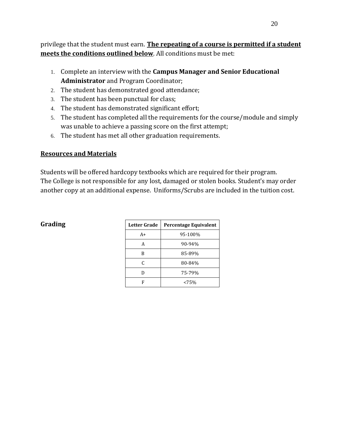privilege that the student must earn. **The repeating of a course is permitted if a student meets the conditions outlined below**. All conditions must be met:

- 1. Complete an interview with the **Campus Manager and Senior Educational Administrator** and Program Coordinator;
- 2. The student has demonstrated good attendance;
- 3. The student has been punctual for class;
- 4. The student has demonstrated significant effort;
- 5. The student has completed all the requirements for the course/module and simply was unable to achieve a passing score on the first attempt;
- 6. The student has met all other graduation requirements.

# <span id="page-22-0"></span>**Resources and Materials**

Students will be offered hardcopy textbooks which are required for their program. The College is not responsible for any lost, damaged or stolen books. Student's may order another copy at an additional expense. Uniforms/Scrubs are included in the tuition cost.

| <b>Letter Grade</b> | Percentage Equivalent |  |
|---------------------|-----------------------|--|
| $A+$                | 95-100%               |  |
| А                   | 90-94%                |  |
| B                   | 85-89%                |  |
| C                   | 80-84%                |  |
| D                   | 75-79%                |  |
| F                   | <75%                  |  |

# $G$ rading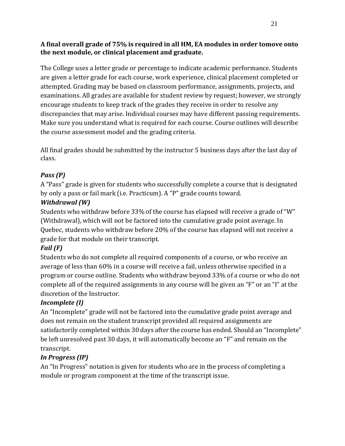# **A final overall grade of 75% is required in all HM, EA modules in order tomove onto the next module, or clinical placement and graduate.**

The College uses a letter grade or percentage to indicate academic performance. Students are given a letter grade for each course, work experience, clinical placement completed or attempted. Grading may be based on classroom performance, assignments, projects, and examinations. All grades are available for student review by request; however, we strongly encourage students to keep track of the grades they receive in order to resolve any discrepancies that may arise. Individual courses may have different passing requirements. Make sure you understand what is required for each course. Course outlines will describe the course assessment model and the grading criteria.

All final grades should be submitted by the instructor 5 business days after the last day of class.

# *Pass (P)*

A "Pass" grade is given for students who successfully complete a course that is designated by only a pass or fail mark (i.e. Practicum). A "P" grade counts toward.

# *Withdrawal (W)*

Students who withdraw before 33% of the course has elapsed will receive a grade of "W" (Withdrawal), which will not be factored into the cumulative grade point average. In Quebec, students who withdraw before 20% of the course has elapsed will not receive a grade for that module on their transcript.

# *Fail (F)*

Students who do not complete all required components of a course, or who receive an average of less than 60% in a course will receive a fail, unless otherwise specified in a program or course outline. Students who withdraw beyond 33% of a course or who do not complete all of the required assignments in any course will be given an "F" or an "I" at the discretion of the Instructor.

# *Incomplete (I)*

An "Incomplete" grade will not be factored into the cumulative grade point average and does not remain on the student transcript provided all required assignments are satisfactorily completed within 30 days after the course has ended. Should an "Incomplete" be left unresolved past 30 days, it will automatically become an "F" and remain on the transcript.

# *In Progress (IP)*

An "In Progress" notation is given for students who are in the process of completing a module or program component at the time of the transcript issue.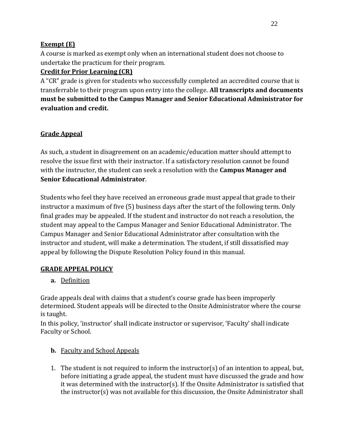# **Exempt (E)**

A course is marked as exempt only when an international student does not choose to undertake the practicum for their program.

# **Credit for Prior Learning (CR)**

A "CR" grade is given for students who successfully completed an accredited course that is transferrable to their program upon entry into the college. **All transcripts and documents must be submitted to the Campus Manager and Senior Educational Administrator for evaluation and credit.**

# <span id="page-24-0"></span>**Grade Appeal**

As such, a student in disagreement on an academic/education matter should attempt to resolve the issue first with their instructor. If a satisfactory resolution cannot be found with the instructor, the student can seek a resolution with the **Campus Manager and Senior Educational Administrator**.

Students who feel they have received an erroneous grade must appeal that grade to their instructor a maximum of five (5) business days after the start of the following term. Only final grades may be appealed. If the student and instructor do not reach a resolution, the student may appeal to the Campus Manager and Senior Educational Administrator. The Campus Manager and Senior Educational Administrator after consultation with the instructor and student, will make a determination. The student, if still dissatisfied may appeal by following the Dispute Resolution Policy found in this manual.

# **GRADE APPEAL POLICY**

**a.** Definition

Grade appeals deal with claims that a student's course grade has been improperly determined. Student appeals will be directed to the Onsite Administrator where the course is taught.

In this policy, 'instructor' shall indicate instructor or supervisor, 'Faculty' shall indicate Faculty or School.

# **b.** Faculty and School Appeals

1. The student is not required to inform the instructor(s) of an intention to appeal, but, before initiating a grade appeal, the student must have discussed the grade and how it was determined with the instructor(s). If the Onsite Administrator is satisfied that the instructor(s) was not available for this discussion, the Onsite Administrator shall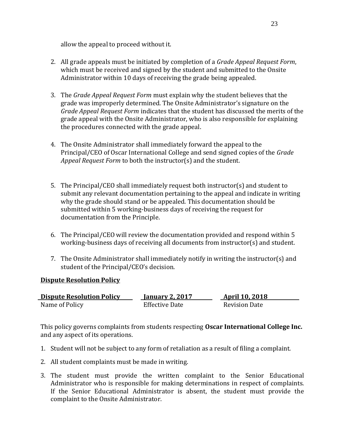allow the appeal to proceed without it.

- 2. All grade appeals must be initiated by completion of a *Grade Appeal Request Form*, which must be received and signed by the student and submitted to the Onsite Administrator within 10 days of receiving the grade being appealed.
- 3. The *Grade Appeal Request Form* must explain why the student believes that the grade was improperly determined. The Onsite Administrator's signature on the *Grade Appeal Request Form* indicates that the student has discussed the merits of the grade appeal with the Onsite Administrator, who is also responsible for explaining the procedures connected with the grade appeal.
- 4. The Onsite Administrator shall immediately forward the appeal to the Principal/CEO of Oscar International College and send signed copies of the *Grade Appeal Request Form* to both the instructor(s) and the student.
- 5. The Principal/CEO shall immediately request both instructor(s) and student to submit any relevant documentation pertaining to the appeal and indicate in writing why the grade should stand or be appealed. This documentation should be submitted within 5 working-business days of receiving the request for documentation from the Principle.
- 6. The Principal/CEO will review the documentation provided and respond within 5 working-business days of receiving all documents from instructor(s) and student.
- 7. The Onsite Administrator shall immediately notify in writing the instructor(s) and student of the Principal/CEO's decision.

# **Dispute Resolution Policy**

| <b>Dispute Resolution Policy</b> | <b>January 2, 2017</b> | <b>April 10, 2018</b> |
|----------------------------------|------------------------|-----------------------|
| Name of Policy                   | <b>Effective Date</b>  | <b>Revision Date</b>  |

This policy governs complaints from students respecting **Oscar International College Inc.** and any aspect of its operations.

- 1. Student will not be subject to any form of retaliation as a result of filing a complaint.
- 2. All student complaints must be made in writing.
- 3. The student must provide the written complaint to the Senior Educational Administrator who is responsible for making determinations in respect of complaints. If the Senior Educational Administrator is absent, the student must provide the complaint to the Onsite Administrator.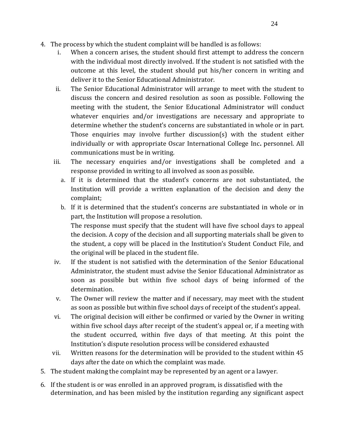- 4. The process by which the student complaint will be handled is as follows:
	- i. When a concern arises, the student should first attempt to address the concern with the individual most directly involved. If the student is not satisfied with the outcome at this level, the student should put his/her concern in writing and deliver it to the Senior Educational Administrator.
	- ii. The Senior Educational Administrator will arrange to meet with the student to discuss the concern and desired resolution as soon as possible. Following the meeting with the student, the Senior Educational Administrator will conduct whatever enquiries and/or investigations are necessary and appropriate to determine whether the student's concerns are substantiated in whole or in part. Those enquiries may involve further discussion(s) with the student either individually or with appropriate Oscar International College Inc**.** personnel. All communications must be in writing.
	- iii. The necessary enquiries and/or investigations shall be completed and a response provided in writing to all involved as soon as possible.
		- a. If it is determined that the student's concerns are not substantiated, the Institution will provide a written explanation of the decision and deny the complaint;
		- b. If it is determined that the student's concerns are substantiated in whole or in part, the Institution will propose a resolution. The response must specify that the student will have five school days to appeal the decision. A copy of the decision and all supporting materials shall be given to the student, a copy will be placed in the Institution's Student Conduct File, and the original will be placed in the student file.
	- iv. If the student is not satisfied with the determination of the Senior Educational Administrator, the student must advise the Senior Educational Administrator as soon as possible but within five school days of being informed of the determination.
	- v. The Owner will review the matter and if necessary, may meet with the student as soon as possible but within five school days of receipt of the student's appeal.
	- vi. The original decision will either be confirmed or varied by the Owner in writing within five school days after receipt of the student's appeal or, if a meeting with the student occurred, within five days of that meeting. At this point the Institution's dispute resolution process will be considered exhausted
	- vii. Written reasons for the determination will be provided to the student within 45 days after the date on which the complaint was made.
- 5. The student making the complaint may be represented by an agent or a lawyer.
- 6. If the student is or was enrolled in an approved program, is dissatisfied with the determination, and has been misled by the institution regarding any significant aspect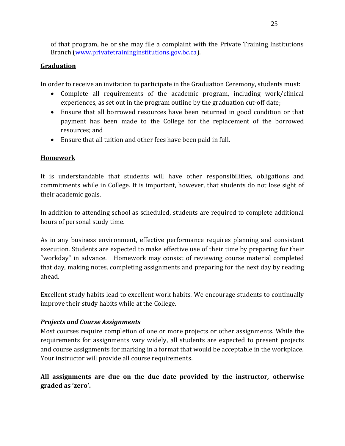of that program, he or she may file a complaint with the Private Training Institutions Branch (www.privatetraininginstitutions.gov.bc.ca).

# <span id="page-27-0"></span>**Graduation**

In order to receive an invitation to participate in the Graduation Ceremony, students must:

- Complete all requirements of the academic program, including work/clinical experiences, as set out in the program outline by the graduation cut-off date;
- Ensure that all borrowed resources have been returned in good condition or that payment has been made to the College for the replacement of the borrowed resources; and
- Ensure that all tuition and other fees have been paid in full.

# <span id="page-27-1"></span>**Homework**

It is understandable that students will have other responsibilities, obligations and commitments while in College. It is important, however, that students do not lose sight of their academic goals.

In addition to attending school as scheduled, students are required to complete additional hours of personal study time.

As in any business environment, effective performance requires planning and consistent execution. Students are expected to make effective use of their time by preparing for their "workday" in advance. Homework may consist of reviewing course material completed that day, making notes, completing assignments and preparing for the next day by reading ahead.

Excellent study habits lead to excellent work habits. We encourage students to continually improve their study habits while at the College.

# *Projects and Course Assignments*

Most courses require completion of one or more projects or other assignments. While the requirements for assignments vary widely, all students are expected to present projects and course assignments for marking in a format that would be acceptable in the workplace. Your instructor will provide all course requirements.

**All assignments are due on the due date provided by the instructor, otherwise graded as 'zero'.**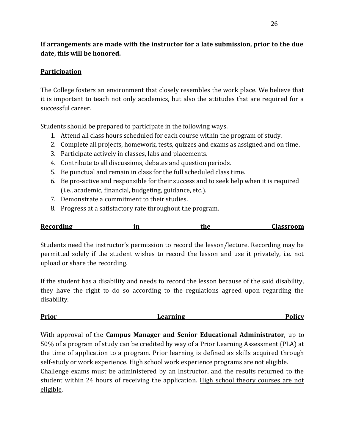# **If arrangements are made with the instructor for a late submission, prior to the due date, this will be honored.**

# <span id="page-28-0"></span>**Participation**

The College fosters an environment that closely resembles the work place. We believe that it is important to teach not only academics, but also the attitudes that are required for a successful career.

Students should be prepared to participate in the following ways.

- 1. Attend all class hours scheduled for each course within the program of study.
- 2. Complete all projects, homework, tests, quizzes and exams as assigned and on time.
- 3. Participate actively in classes, labs and placements.
- 4. Contribute to all discussions, debates and question periods.
- 5. Be punctual and remain in class for the full scheduled class time.
- 6. Be pro-active and responsible for their success and to seek help when it is required (i.e., academic, financial, budgeting, guidance, etc.).
- 7. Demonstrate a commitment to their studies.
- 8. Progress at a satisfactory rate throughout the program.

| <b>Recording</b> | m | $\sim$ $\sim$ | Alassroom |
|------------------|---|---------------|-----------|
|                  |   |               |           |

Students need the instructor's permission to record the lesson/lecture. Recording may be permitted solely if the student wishes to record the lesson and use it privately, i.e. not upload or share the recording.

If the student has a disability and needs to record the lesson because of the said disability, they have the right to do so according to the regulations agreed upon regarding the disability.

<span id="page-28-1"></span>**Prior Prior Prior Policy Prior Policy Policy Policy Policy** 

With approval of the **Campus Manager and Senior Educational Administrator**, up to 50% of a program of study can be credited by way of a Prior Learning Assessment (PLA) at the time of application to a program. Prior learning is defined as skills acquired through self-study or work experience. High school work experience programs are not eligible. Challenge exams must be administered by an Instructor, and the results returned to the student within 24 hours of receiving the application. High school theory courses are not eligible.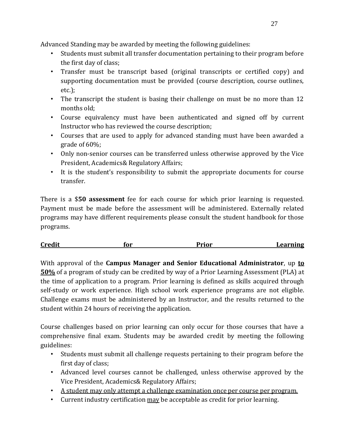Advanced Standing may be awarded by meeting the following guidelines:

- Students must submit all transfer documentation pertaining to their program before the first day of class;
- Transfer must be transcript based (original transcripts or certified copy) and supporting documentation must be provided (course description, course outlines, etc.);
- The transcript the student is basing their challenge on must be no more than 12 months old;
- Course equivalency must have been authenticated and signed off by current Instructor who has reviewed the course description;
- Courses that are used to apply for advanced standing must have been awarded a grade of 60%;
- Only non-senior courses can be transferred unless otherwise approved by the Vice President, Academics& Regulatory Affairs;
- It is the student's responsibility to submit the appropriate documents for course transfer.

There is a \$**50 assessment** fee for each course for which prior learning is requested. Payment must be made before the assessment will be administered. Externally related programs may have different requirements please consult the student handbook for those programs.

| <b>Credit</b> | tor | $m \sim$ | earning<br> |
|---------------|-----|----------|-------------|
|               |     |          |             |

With approval of the **Campus Manager and Senior Educational Administrator**, up **to 50%** of a program of study can be credited by way of a Prior Learning Assessment (PLA) at the time of application to a program. Prior learning is defined as skills acquired through self-study or work experience. High school work experience programs are not eligible. Challenge exams must be administered by an Instructor, and the results returned to the student within 24 hours of receiving the application.

Course challenges based on prior learning can only occur for those courses that have a comprehensive final exam. Students may be awarded credit by meeting the following guidelines:

- Students must submit all challenge requests pertaining to their program before the first day of class;
- Advanced level courses cannot be challenged, unless otherwise approved by the Vice President, Academics& Regulatory Affairs;
- A student may only attempt a challenge examination once per course per program.
- Current industry certification may be acceptable as credit for prior learning.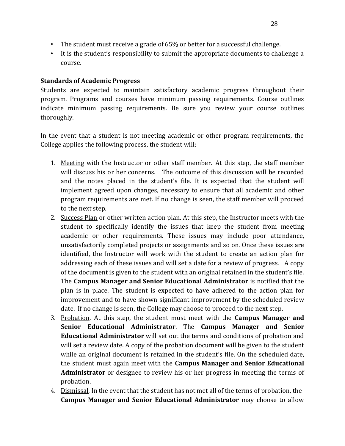- The student must receive a grade of 65% or better for a successful challenge.
- It is the student's responsibility to submit the appropriate documents to challenge a course.

## **Standards of Academic Progress**

Students are expected to maintain satisfactory academic progress throughout their program. Programs and courses have minimum passing requirements. Course outlines indicate minimum passing requirements. Be sure you review your course outlines thoroughly.

In the event that a student is not meeting academic or other program requirements, the College applies the following process, the student will:

- 1. Meeting with the Instructor or other staff member. At this step, the staff member will discuss his or her concerns. The outcome of this discussion will be recorded and the notes placed in the student's file. It is expected that the student will implement agreed upon changes, necessary to ensure that all academic and other program requirements are met. If no change is seen, the staff member will proceed to the next step.
- 2. Success Plan or other written action plan. At this step, the Instructor meets with the student to specifically identify the issues that keep the student from meeting academic or other requirements. These issues may include poor attendance, unsatisfactorily completed projects or assignments and so on. Once these issues are identified, the Instructor will work with the student to create an action plan for addressing each of these issues and will set a date for a review of progress. A copy of the document is given to the student with an original retained in the student's file. The **Campus Manager and Senior Educational Administrator** is notified that the plan is in place. The student is expected to have adhered to the action plan for improvement and to have shown significant improvement by the scheduled review date. If no change is seen, the College may choose to proceed to the next step.
- 3. Probation. At this step, the student must meet with the **Campus Manager and Senior Educational Administrator**. The **Campus Manager and Senior Educational Administrator** will set out the terms and conditions of probation and will set a review date. A copy of the probation document will be given to the student while an original document is retained in the student's file. On the scheduled date, the student must again meet with the **Campus Manager and Senior Educational Administrator** or designee to review his or her progress in meeting the terms of probation.
- 4. Dismissal. In the event that the student has not met all of the terms of probation, the **Campus Manager and Senior Educational Administrator** may choose to allow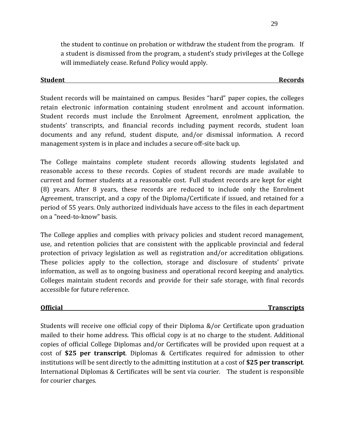the student to continue on probation or withdraw the student from the program. If a student is dismissed from the program, a student's study privileges at the College will immediately cease. Refund Policy would apply.

#### <span id="page-31-0"></span>**Student Records**

Student records will be maintained on campus. Besides "hard" paper copies, the colleges retain electronic information containing student enrolment and account information. Student records must include the Enrolment Agreement, enrolment application, the students' transcripts, and financial records including payment records, student loan documents and any refund, student dispute, and/or dismissal information. A record management system is in place and includes a secure off-site back up.

The College maintains complete student records allowing students legislated and reasonable access to these records. Copies of student records are made available to current and former students at a reasonable cost. Full student records are kept for eight (8) years. After 8 years, these records are reduced to include only the Enrolment Agreement, transcript, and a copy of the Diploma/Certificate if issued, and retained for a period of 55 years. Only authorized individuals have access to the files in each department on a "need-to-know" basis.

The College applies and complies with privacy policies and student record management, use, and retention policies that are consistent with the applicable provincial and federal protection of privacy legislation as well as registration and/or accreditation obligations. These policies apply to the collection, storage and disclosure of students' private information, as well as to ongoing business and operational record keeping and analytics. Colleges maintain student records and provide for their safe storage, with final records accessible for future reference.

# <span id="page-31-1"></span>**Official Transcripts**

Students will receive one official copy of their Diploma &/or Certificate upon graduation mailed to their home address. This official copy is at no charge to the student. Additional copies of official College Diplomas and/or Certificates will be provided upon request at a cost of **\$25 per transcript**. Diplomas & Certificates required for admission to other institutions will be sent directly to the admitting institution at a cost of **\$25 per transcript**. International Diplomas & Certificates will be sent via courier. The student is responsible for courier charges.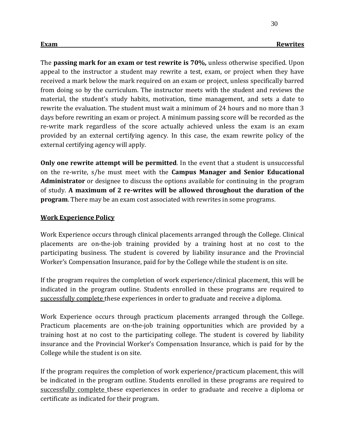30

<span id="page-32-0"></span>The **passing mark for an exam or test rewrite is 70%,** unless otherwise specified. Upon appeal to the instructor a student may rewrite a test, exam, or project when they have received a mark below the mark required on an exam or project, unless specifically barred from doing so by the curriculum. The instructor meets with the student and reviews the material, the student's study habits, motivation, time management, and sets a date to rewrite the evaluation. The student must wait a minimum of 24 hours and no more than 3 days before rewriting an exam or project. A minimum passing score will be recorded as the re-write mark regardless of the score actually achieved unless the exam is an exam provided by an external certifying agency. In this case, the exam rewrite policy of the external certifying agency will apply.

**Only one rewrite attempt will be permitted**. In the event that a student is unsuccessful on the re-write, s/he must meet with the **Campus Manager and Senior Educational Administrator** or designee to discuss the options available for continuing in the program of study. **A maximum of 2 re-writes will be allowed throughout the duration of the program**. There may be an exam cost associated with rewrites in some programs.

#### <span id="page-32-1"></span>**Work Experience Policy**

Work Experience occurs through clinical placements arranged through the College. Clinical placements are on-the-job training provided by a training host at no cost to the participating business. The student is covered by liability insurance and the Provincial Worker's Compensation Insurance, paid for by the College while the student is on site.

If the program requires the completion of work experience/clinical placement, this will be indicated in the program outline. Students enrolled in these programs are required to successfully complete these experiences in order to graduate and receive a diploma.

Work Experience occurs through practicum placements arranged through the College. Practicum placements are on-the-job training opportunities which are provided by a training host at no cost to the participating college. The student is covered by liability insurance and the Provincial Worker's Compensation Insurance, which is paid for by the College while the student is on site.

If the program requires the completion of work experience/practicum placement, this will be indicated in the program outline. Students enrolled in these programs are required to successfully complete these experiences in order to graduate and receive a diploma or certificate as indicated for their program.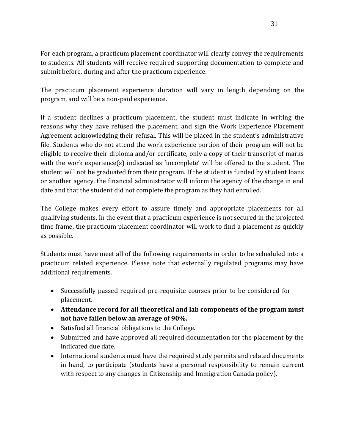For each program, a practicum placement coordinator will clearly convey the requirements to students. All students will receive required supporting documentation to complete and submit before, during and after the practicum experience.

The practicum placement experience duration will vary in length depending on the program, and will be a non-paid experience.

If a student declines a practicum placement, the student must indicate in writing the reasons why they have refused the placement, and sign the Work Experience Placement Agreement acknowledging their refusal. This will be placed in the student's administrative file. Students who do not attend the work experience portion of their program will not be eligible to receive their diploma and/or certificate, only a copy of their transcript of marks with the work experience(s) indicated as 'incomplete' will be offered to the student. The student will not be graduated from their program. If the student is funded by student loans or another agency, the financial administrator will inform the agency of the change in end date and that the student did not complete the program as they had enrolled.

The College makes every effort to assure timely and appropriate placements for all qualifying students. In the event that a practicum experience is not secured in the projected time frame, the practicum placement coordinator will work to find a placement as quickly as possible.

Students must have meet all of the following requirements in order to be scheduled into a practicum related experience. Please note that externally regulated programs may have additional requirements.

- Successfully passed required pre-requisite courses prior to be considered for placement.
- **Attendance record for all theoretical and lab components of the program must not have fallen below an average of 90%.**
- Satisfied all financial obligations to the College.
- Submitted and have approved all required documentation for the placement by the indicated due date.
- International students must have the required study permits and related documents in hand, to participate (students have a personal responsibility to remain current with respect to any changes in Citizenship and Immigration Canada policy).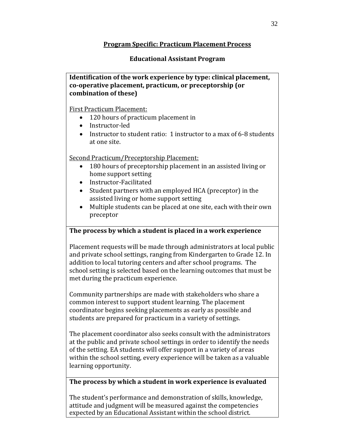### **Program Specific: Practicum Placement Process**

### **Educational Assistant Program**

**Identification of the work experience by type: clinical placement, co-operative placement, practicum, or preceptorship (or combination of these)**

First Practicum Placement:

- 120 hours of practicum placement in
- Instructor-led
- Instructor to student ratio: 1 instructor to a max of 6-8 students at one site.

Second Practicum/Preceptorship Placement:

- 180 hours of preceptorship placement in an assisted living or home support setting
- Instructor-Facilitated
- Student partners with an employed HCA (preceptor) in the assisted living or home support setting
- Multiple students can be placed at one site, each with their own preceptor

# **The process by which a student is placed in a work experience**

Placement requests will be made through administrators at local public and private school settings, ranging from Kindergarten to Grade 12. In addition to local tutoring centers and after school programs. The school setting is selected based on the learning outcomes that must be met during the practicum experience.

Community partnerships are made with stakeholders who share a common interest to support student learning. The placement coordinator begins seeking placements as early as possible and students are prepared for practicum in a variety of settings.

The placement coordinator also seeks consult with the administrators at the public and private school settings in order to identify the needs of the setting. EA students will offer support in a variety of areas within the school setting, every experience will be taken as a valuable learning opportunity.

# **The process by which a student in work experience is evaluated**

The student's performance and demonstration of skills, knowledge, attitude and judgment will be measured against the competencies expected by an Educational Assistant within the school district.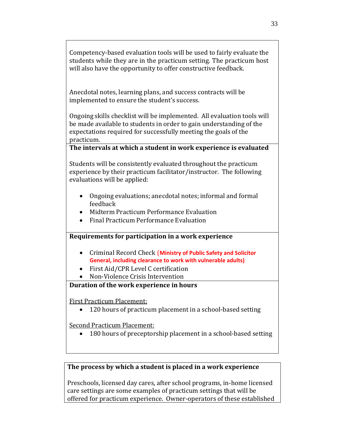Competency-based evaluation tools will be used to fairly evaluate the students while they are in the practicum setting. The practicum host will also have the opportunity to offer constructive feedback.

Anecdotal notes, learning plans, and success contracts will be implemented to ensure the student's success.

Ongoing skills checklist will be implemented. All evaluation tools will be made available to students in order to gain understanding of the expectations required for successfully meeting the goals of the practicum.

#### **The intervals at which a student in work experience is evaluated**

Students will be consistently evaluated throughout the practicum experience by their practicum facilitator/instructor. The following evaluations will be applied:

- Ongoing evaluations; anecdotal notes; informal and formal feedback
- Midterm Practicum Performance Evaluation
- Final Practicum Performance Evaluation

#### **Requirements for participation in a work experience**

- Criminal Record Check (**Ministry of Public Safety and Solicitor General, including clearance to work with vulnerable adults)**
- First Aid/CPR Level C certification
- Non-Violence Crisis Intervention

#### **Duration of the work experience in hours**

First Practicum Placement:

• 120 hours of practicum placement in a school-based setting

Second Practicum Placement:

• 180 hours of preceptorship placement in a school-based setting

#### **The process by which a student is placed in a work experience**

Preschools, licensed day cares, after school programs, in-home licensed care settings are some examples of practicum settings that will be offered for practicum experience. Owner-operators of these established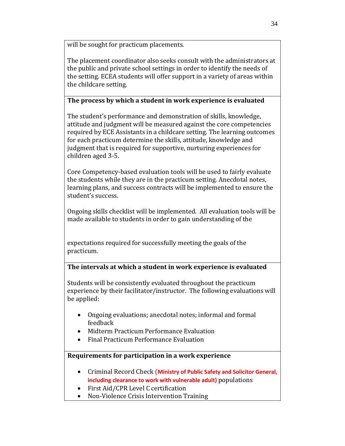will be sought for practicum placements.

The placement coordinator also seeks consult with the administrators at the public and private school settings in order to identify the needs of the setting. ECEA students will offer support in a variety of areas within the childcare setting.

#### **The process by which a student in work experience is evaluated**

The student's performance and demonstration of skills, knowledge, attitude and judgment will be measured against the core competencies required by ECE Assistants in a childcare setting. The learning outcomes for each practicum determine the skills, attitude, knowledge and judgment that is required for supportive, nurturing experiences for children aged 3-5.

Core Competency-based evaluation tools will be used to fairly evaluate the students while they are in the practicum setting. Anecdotal notes, learning plans, and success contracts will be implemented to ensure the student's success.

Ongoing skills checklist will be implemented. All evaluation tools will be made available to students in order to gain understanding of the

expectations required for successfully meeting the goals of the practicum.

#### **The intervals at which a student in work experience is evaluated**

Students will be consistently evaluated throughout the practicum experience by their facilitator/instructor. The following evaluations will be applied:

- Ongoing evaluations; anecdotal notes; informal and formal feedback
- Midterm Practicum Performance Evaluation
- Final Practicum Performance Evaluation

#### **Requirements for participation in a work experience**

- Criminal Record Check (**Ministry of Public Safety and Solicitor General, including clearance to work with vulnerable adult)** populations
- First Aid/CPR Level C certification
- Non-Violence Crisis Intervention Training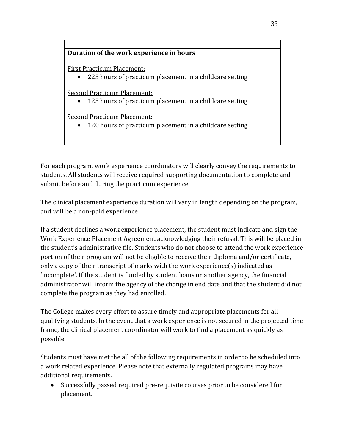#### **Duration of the work experience in hours**

First Practicum Placement:

• 225 hours of practicum placement in a childcare setting

Second Practicum Placement:

• 125 hours of practicum placement in a childcare setting

Second Practicum Placement:

• 120 hours of practicum placement in a childcare setting

For each program, work experience coordinators will clearly convey the requirements to students. All students will receive required supporting documentation to complete and submit before and during the practicum experience.

The clinical placement experience duration will vary in length depending on the program, and will be a non-paid experience.

If a student declines a work experience placement, the student must indicate and sign the Work Experience Placement Agreement acknowledging their refusal. This will be placed in the student's administrative file. Students who do not choose to attend the work experience portion of their program will not be eligible to receive their diploma and/or certificate, only a copy of their transcript of marks with the work experience(s) indicated as 'incomplete'. If the student is funded by student loans or another agency, the financial administrator will inform the agency of the change in end date and that the student did not complete the program as they had enrolled.

The College makes every effort to assure timely and appropriate placements for all qualifying students. In the event that a work experience is not secured in the projected time frame, the clinical placement coordinator will work to find a placement as quickly as possible.

Students must have met the all of the following requirements in order to be scheduled into a work related experience. Please note that externally regulated programs may have additional requirements.

• Successfully passed required pre-requisite courses prior to be considered for placement.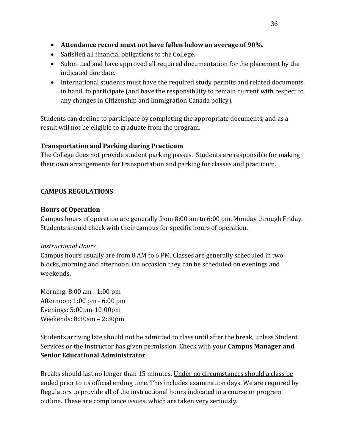- **Attendance record must not have fallen below an average of 90%.**
- Satisfied all financial obligations to the College.
- Submitted and have approved all required documentation for the placement by the indicated due date.
- International students must have the required study permits and related documents in hand, to participate (and have the responsibility to remain current with respect to any changes in Citizenship and Immigration Canada policy).

Students can decline to participate by completing the appropriate documents, and as a result will not be eligible to graduate from the program.

# **Transportation and Parking during Practicum**

The College does not provide student parking passes. Students are responsible for making their own arrangements for transportation and parking for classes and practicum.

# **CAMPUS REGULATIONS**

# **Hours of Operation**

Campus hours of operation are generally from 8:00 am to 6:00 pm, Monday through Friday. Students should check with their campus for specific hours of operation.

# *Instructional Hours*

Campus hours usually are from 8 AM to 6 PM. Classes are generally scheduled in two blocks, morning and afternoon. On occasion they can be scheduled on evenings and weekends.

Morning: 8:00 am - 1:00 pm Afternoon: 1:00 pm - 6:00 pm Evenings: 5:00pm-10:00pm Weekends: 8:30am – 2:30pm

Students arriving late should not be admitted to class until after the break, unless Student Services or the Instructor has given permission. Check with your **Campus Manager and Senior Educational Administrator**

Breaks should last no longer than 15 minutes. Under no circumstances should a class be ended prior to its official ending time. This includes examination days. We are required by Regulators to provide all of the instructional hours indicated in a course or program outline. These are compliance issues, which are taken very seriously.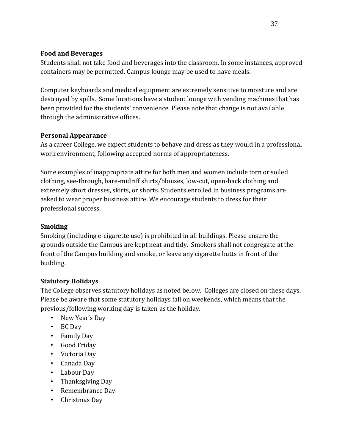## **Food and Beverages**

Students shall not take food and beverages into the classroom. In some instances, approved containers may be permitted. Campus lounge may be used to have meals.

Computer keyboards and medical equipment are extremely sensitive to moisture and are destroyed by spills. Some locations have a student lounge with vending machines that has been provided for the students' convenience. Please note that change is not available through the administrative offices.

# **Personal Appearance**

As a career College, we expect students to behave and dress as they would in a professional work environment, following accepted norms of appropriateness.

Some examples of inappropriate attire for both men and women include torn or soiled clothing, see-through, bare-midriff shirts/blouses, low-cut, open-back clothing and extremely short dresses, skirts, or shorts. Students enrolled in business programs are asked to wear proper business attire. We encourage students to dress for their professional success.

# **Smoking**

Smoking (including e-cigarette use) is prohibited in all buildings. Please ensure the grounds outside the Campus are kept neat and tidy. Smokers shall not congregate at the front of the Campus building and smoke, or leave any cigarette butts in front of the building.

# **Statutory Holidays**

The College observes statutory holidays as noted below. Colleges are closed on these days. Please be aware that some statutory holidays fall on weekends, which means that the previous/following working day is taken as the holiday.

- New Year's Day
- BC Day
- Family Day
- Good Friday
- Victoria Day
- Canada Day
- Labour Day
- Thanksgiving Day
- Remembrance Day
- Christmas Day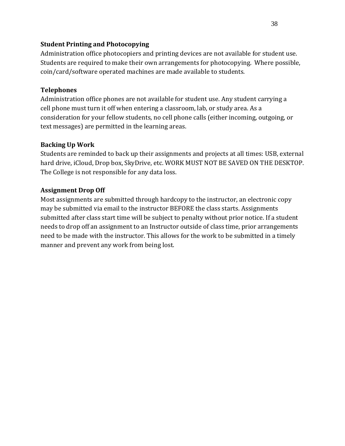#### **Student Printing and Photocopying**

Administration office photocopiers and printing devices are not available for student use. Students are required to make their own arrangements for photocopying. Where possible, coin/card/software operated machines are made available to students.

# **Telephones**

Administration office phones are not available for student use. Any student carrying a cell phone must turn it off when entering a classroom, lab, or study area. As a consideration for your fellow students, no cell phone calls (either incoming, outgoing, or text messages) are permitted in the learning areas.

# **Backing Up Work**

Students are reminded to back up their assignments and projects at all times: USB, external hard drive, iCloud, Drop box, SkyDrive, etc. WORK MUST NOT BE SAVED ON THE DESKTOP. The College is not responsible for any data loss.

# **Assignment Drop Off**

Most assignments are submitted through hardcopy to the instructor, an electronic copy may be submitted via email to the instructor BEFORE the class starts. Assignments submitted after class start time will be subject to penalty without prior notice. If a student needs to drop off an assignment to an Instructor outside of class time, prior arrangements need to be made with the instructor. This allows for the work to be submitted in a timely manner and prevent any work from being lost.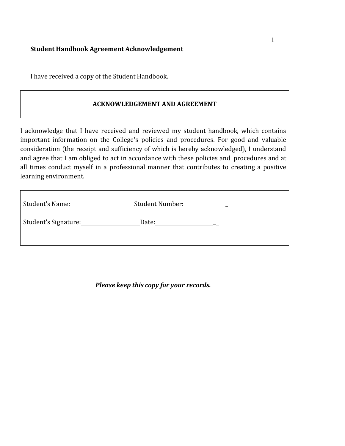# **Student Handbook Agreement Acknowledgement**

I have received a copy of the Student Handbook.

#### **ACKNOWLEDGEMENT AND AGREEMENT**

I acknowledge that I have received and reviewed my student handbook, which contains important information on the College's policies and procedures. For good and valuable consideration (the receipt and sufficiency of which is hereby acknowledged), I understand and agree that I am obliged to act in accordance with these policies and procedures and at all times conduct myself in a professional manner that contributes to creating a positive learning environment.

| Student's Name:      | <b>Student Number:</b> |
|----------------------|------------------------|
| Student's Signature: | Date:                  |
|                      |                        |

*Please keep this copy for your records.*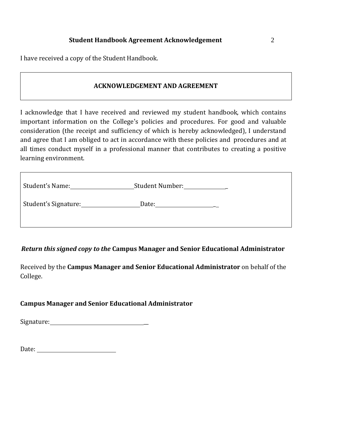I have received a copy of the Student Handbook.

#### **ACKNOWLEDGEMENT AND AGREEMENT**

I acknowledge that I have received and reviewed my student handbook, which contains important information on the College's policies and procedures. For good and valuable consideration (the receipt and sufficiency of which is hereby acknowledged), I understand and agree that I am obliged to act in accordance with these policies and procedures and at all times conduct myself in a professional manner that contributes to creating a positive learning environment.

| Student's Name:      | Student Number: |
|----------------------|-----------------|
| Student's Signature: | Date:           |
|                      |                 |

*Return this signed copy to the* **Campus Manager and Senior Educational Administrator**

Received by the **Campus Manager and Senior Educational Administrator** on behalf of the College.

#### **Campus Manager and Senior Educational Administrator**

Signature: \_\_

Date:

 $\mathsf{r}$